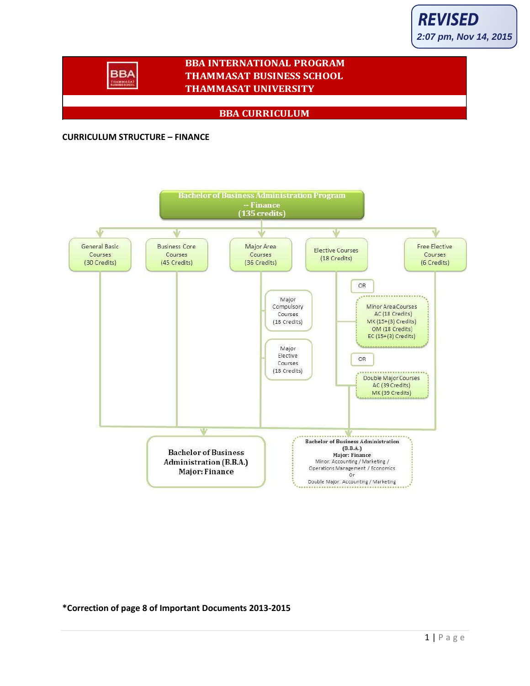

### **BBA INTERNATIONAL PROGRAM THAMMASAT BUSINESS SCHOOL THAMMASAT UNIVERSITY**

#### **BBA CURRICULUM**

#### **CURRICULUM STRUCTURE – FINANCE**

**BBA TRAMMAS** 



**\*Correction of page 8 of Important Documents 2013-2015**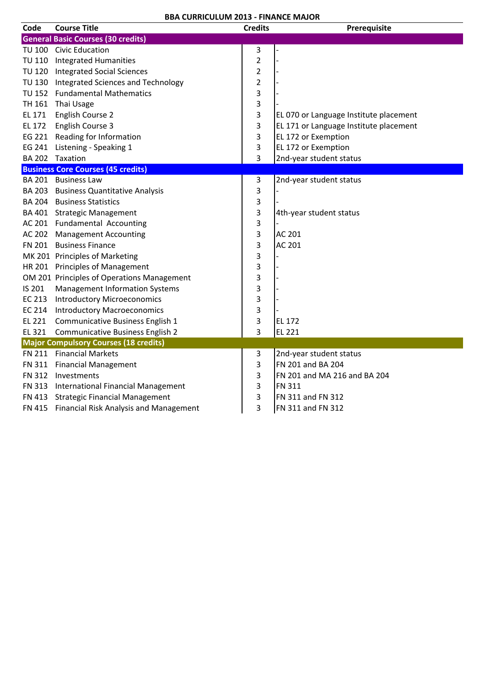| Code                                         | <b>Course Title</b>                           | <b>Credits</b>          | Prerequisite                           |  |  |
|----------------------------------------------|-----------------------------------------------|-------------------------|----------------------------------------|--|--|
|                                              | <b>General Basic Courses (30 credits)</b>     |                         |                                        |  |  |
|                                              | TU 100 Civic Education                        | 3                       |                                        |  |  |
|                                              | TU 110 Integrated Humanities                  | $\overline{2}$          |                                        |  |  |
|                                              | TU 120 Integrated Social Sciences             | $\overline{\mathbf{c}}$ |                                        |  |  |
|                                              | TU 130 Integrated Sciences and Technology     | $\overline{\mathbf{c}}$ |                                        |  |  |
|                                              | TU 152 Fundamental Mathematics                | 3                       |                                        |  |  |
|                                              | TH 161 Thai Usage                             | 3                       |                                        |  |  |
| EL 171                                       | English Course 2                              | 3                       | EL 070 or Language Institute placement |  |  |
| <b>EL 172</b>                                | English Course 3                              | 3                       | EL 171 or Language Institute placement |  |  |
|                                              | EG 221 Reading for Information                | 3                       | EL 172 or Exemption                    |  |  |
|                                              | EG 241 Listening - Speaking 1                 | 3                       | EL 172 or Exemption                    |  |  |
|                                              | BA 202 Taxation                               | 3                       | 2nd-year student status                |  |  |
|                                              | <b>Business Core Courses (45 credits)</b>     |                         |                                        |  |  |
|                                              | BA 201 Business Law                           | 3                       | 2nd-year student status                |  |  |
|                                              | BA 203 Business Quantitative Analysis         | 3                       |                                        |  |  |
|                                              | <b>BA 204 Business Statistics</b>             | 3                       |                                        |  |  |
|                                              | BA 401 Strategic Management                   | 3                       | 4th-year student status                |  |  |
|                                              | AC 201 Fundamental Accounting                 | 3                       |                                        |  |  |
|                                              | AC 202 Management Accounting                  | 3                       | AC 201                                 |  |  |
|                                              | FN 201 Business Finance                       | 3                       | <b>AC 201</b>                          |  |  |
|                                              | MK 201 Principles of Marketing                | 3                       |                                        |  |  |
|                                              | HR 201 Principles of Management               | 3                       |                                        |  |  |
|                                              | OM 201 Principles of Operations Management    | 3                       |                                        |  |  |
| IS 201                                       | <b>Management Information Systems</b>         | 3                       |                                        |  |  |
| EC 213                                       | <b>Introductory Microeconomics</b>            | 3                       |                                        |  |  |
|                                              | EC 214 Introductory Macroeconomics            | 3                       |                                        |  |  |
| EL 221                                       | Communicative Business English 1              | 3                       | <b>EL 172</b>                          |  |  |
| EL 321                                       | <b>Communicative Business English 2</b>       | 3                       | EL 221                                 |  |  |
| <b>Major Compulsory Courses (18 credits)</b> |                                               |                         |                                        |  |  |
|                                              | FN 211 Financial Markets                      | 3                       | 2nd-year student status                |  |  |
|                                              | FN 311 Financial Management                   | 3                       | FN 201 and BA 204                      |  |  |
|                                              | FN 312 Investments                            | 3                       | FN 201 and MA 216 and BA 204           |  |  |
|                                              | FN 313 International Financial Management     | 3                       | <b>FN 311</b>                          |  |  |
|                                              | FN 413 Strategic Financial Management         | 3                       | FN 311 and FN 312                      |  |  |
|                                              | FN 415 Financial Risk Analysis and Management | 3                       | FN 311 and FN 312                      |  |  |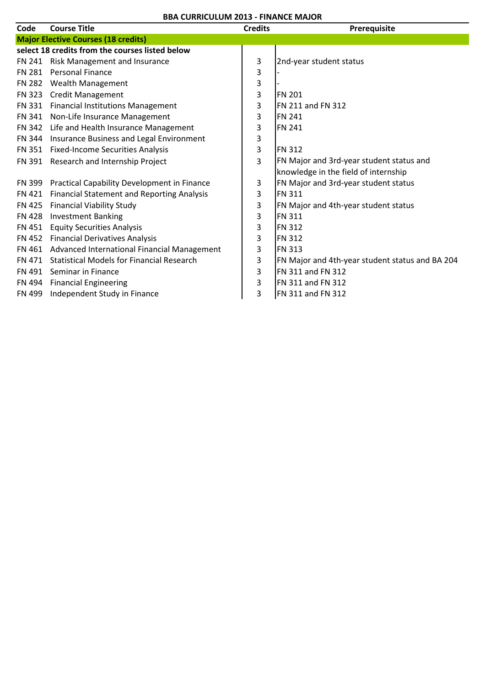|               | UNNCULUM ZU1J - I IIVANCL IVII                     |                |                                                 |  |  |  |
|---------------|----------------------------------------------------|----------------|-------------------------------------------------|--|--|--|
| Code          | <b>Course Title</b>                                | <b>Credits</b> | Prerequisite                                    |  |  |  |
|               | <b>Major Elective Courses (18 credits)</b>         |                |                                                 |  |  |  |
|               | select 18 credits from the courses listed below    |                |                                                 |  |  |  |
|               | FN 241 Risk Management and Insurance               | 3              | 2nd-year student status                         |  |  |  |
| FN 281        | <b>Personal Finance</b>                            | 3              |                                                 |  |  |  |
|               | FN 282 Wealth Management                           | 3              |                                                 |  |  |  |
|               | FN 323 Credit Management                           | 3              | <b>FN 201</b>                                   |  |  |  |
|               | FN 331 Financial Institutions Management           | 3              | <b>FN 211 and FN 312</b>                        |  |  |  |
|               | FN 341 Non-Life Insurance Management               | 3              | <b>FN 241</b>                                   |  |  |  |
|               | FN 342 Life and Health Insurance Management        | 3              | <b>FN 241</b>                                   |  |  |  |
|               | FN 344 Insurance Business and Legal Environment    | 3              |                                                 |  |  |  |
|               | FN 351 Fixed-Income Securities Analysis            | 3              | <b>FN 312</b>                                   |  |  |  |
|               | FN 391 Research and Internship Project             | 3              | FN Major and 3rd-year student status and        |  |  |  |
|               |                                                    |                | knowledge in the field of internship            |  |  |  |
|               | FN 399 Practical Capability Development in Finance | 3              | FN Major and 3rd-year student status            |  |  |  |
| FN 421        | <b>Financial Statement and Reporting Analysis</b>  | 3              | <b>FN 311</b>                                   |  |  |  |
|               | FN 425 Financial Viability Study                   | 3              | FN Major and 4th-year student status            |  |  |  |
| <b>FN 428</b> | <b>Investment Banking</b>                          | 3              | <b>FN 311</b>                                   |  |  |  |
| FN 451        | <b>Equity Securities Analysis</b>                  | 3              | <b>FN 312</b>                                   |  |  |  |
|               | FN 452 Financial Derivatives Analysis              | 3              | <b>FN 312</b>                                   |  |  |  |
|               | FN 461 Advanced International Financial Management | 3              | <b>FN 313</b>                                   |  |  |  |
| FN 471        | <b>Statistical Models for Financial Research</b>   | 3              | FN Major and 4th-year student status and BA 204 |  |  |  |
|               | FN 491 Seminar in Finance                          | 3              | FN 311 and FN 312                               |  |  |  |
| FN 494        | <b>Financial Engineering</b>                       | 3              | FN 311 and FN 312                               |  |  |  |
| FN 499        | Independent Study in Finance                       | 3              | FN 311 and FN 312                               |  |  |  |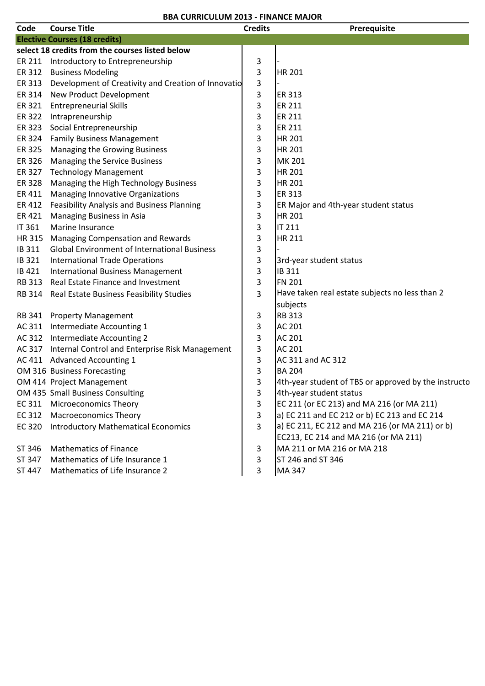| Code          | <b>Course Title</b>                                    | <b>Credits</b> | Prerequisite                                         |
|---------------|--------------------------------------------------------|----------------|------------------------------------------------------|
|               | <b>Elective Courses (18 credits)</b>                   |                |                                                      |
|               | select 18 credits from the courses listed below        |                |                                                      |
|               | ER 211 Introductory to Entrepreneurship                | 3              |                                                      |
|               | ER 312 Business Modeling                               | 3              | <b>HR 201</b>                                        |
| ER 313        | Development of Creativity and Creation of Innovatio    | 3              |                                                      |
| ER 314        | New Product Development                                | 3              | <b>ER 313</b>                                        |
| ER 321        | <b>Entrepreneurial Skills</b>                          | 3              | <b>ER 211</b>                                        |
| ER 322        | Intrapreneurship                                       | 3              | <b>ER 211</b>                                        |
| ER 323        | Social Entrepreneurship                                | 3              | <b>ER 211</b>                                        |
| ER 324        | <b>Family Business Management</b>                      | 3              | <b>HR 201</b>                                        |
| ER 325        | Managing the Growing Business                          | 3              | <b>HR 201</b>                                        |
| ER 326        | Managing the Service Business                          | 3              | <b>MK 201</b>                                        |
| ER 327        | <b>Technology Management</b>                           | 3              | <b>HR 201</b>                                        |
| ER 328        | Managing the High Technology Business                  | 3              | <b>HR 201</b>                                        |
| ER 411        | <b>Managing Innovative Organizations</b>               | 3              | <b>ER 313</b>                                        |
| ER 412        | Feasibility Analysis and Business Planning             | 3              | ER Major and 4th-year student status                 |
| ER 421        | <b>Managing Business in Asia</b>                       | 3              | <b>HR 201</b>                                        |
| IT 361        | Marine Insurance                                       | 3              | <b>IT 211</b>                                        |
| HR 315        | Managing Compensation and Rewards                      | 3              | <b>HR 211</b>                                        |
| IB 311        | <b>Global Environment of International Business</b>    | 3              |                                                      |
| IB 321        | <b>International Trade Operations</b>                  | 3              | 3rd-year student status                              |
| IB 421        | <b>International Business Management</b>               | 3              | IB 311                                               |
| <b>RB 313</b> | Real Estate Finance and Investment                     | 3              | <b>FN 201</b>                                        |
| RB 314        | Real Estate Business Feasibility Studies               | 3              | Have taken real estate subjects no less than 2       |
|               |                                                        |                | subjects                                             |
|               | RB 341 Property Management                             | 3              | <b>RB 313</b>                                        |
|               | AC 311 Intermediate Accounting 1                       | 3              | <b>AC 201</b>                                        |
|               | AC 312 Intermediate Accounting 2                       | 3              | <b>AC 201</b>                                        |
|               | AC 317 Internal Control and Enterprise Risk Management | 3              | AC 201                                               |
|               | AC 411 Advanced Accounting 1                           | 3              | AC 311 and AC 312                                    |
|               | OM 316 Business Forecasting                            | 3              | <b>BA 204</b>                                        |
|               | OM 414 Project Management                              | 3              | 4th-year student of TBS or approved by the instructo |
|               | OM 435 Small Business Consulting                       | 3              | 4th-year student status                              |
| EC 311        | <b>Microeconomics Theory</b>                           | $\overline{3}$ | EC 211 (or EC 213) and MA 216 (or MA 211)            |
| EC 312        | <b>Macroeconomics Theory</b>                           | 3              | a) EC 211 and EC 212 or b) EC 213 and EC 214         |
| EC 320        | <b>Introductory Mathematical Economics</b>             | $\overline{3}$ | a) EC 211, EC 212 and MA 216 (or MA 211) or b)       |
|               |                                                        |                | EC213, EC 214 and MA 216 (or MA 211)                 |
| ST 346        | <b>Mathematics of Finance</b>                          | 3              | MA 211 or MA 216 or MA 218                           |
| ST 347        | Mathematics of Life Insurance 1                        | 3              | ST 246 and ST 346                                    |
| ST 447        | Mathematics of Life Insurance 2                        | 3              | MA 347                                               |